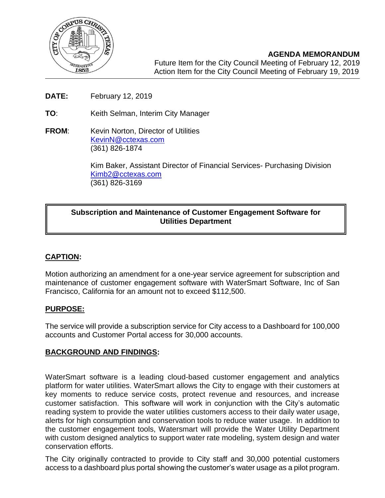

7214, 2017

 $\overline{\phantom{a}}$ 

- **DATE:** February 12, 2019
- **TO**: Keith Selman, Interim City Manager
- **FROM:** Kevin Norton, Director of Utilities [KevinN@cctexas.com](mailto:KevinN@cctexas.com) (361) 826-1874

Kim Baker, Assistant Director of Financial Services- Purchasing Division [Kimb2@cctexas.com](mailto:Kimb2@cctexas.com) (361) 826-3169

## **Subscription and Maintenance of Customer Engagement Software for Utilities Department**

# **CAPTION:**

Motion authorizing an amendment for a one-year service agreement for subscription and maintenance of customer engagement software with WaterSmart Software, Inc of San Francisco, California for an amount not to exceed \$112,500.

#### **PURPOSE:**

The service will provide a subscription service for City access to a Dashboard for 100,000 accounts and Customer Portal access for 30,000 accounts.

#### **BACKGROUND AND FINDINGS:**

WaterSmart software is a leading cloud-based customer engagement and analytics platform for water utilities. WaterSmart allows the City to engage with their customers at key moments to reduce service costs, protect revenue and resources, and increase customer satisfaction. This software will work in conjunction with the City's automatic reading system to provide the water utilities customers access to their daily water usage, alerts for high consumption and conservation tools to reduce water usage. In addition to the customer engagement tools, Watersmart will provide the Water Utility Department with custom designed analytics to support water rate modeling, system design and water conservation efforts.

The City originally contracted to provide to City staff and 30,000 potential customers access to a dashboard plus portal showing the customer's water usage as a pilot program.